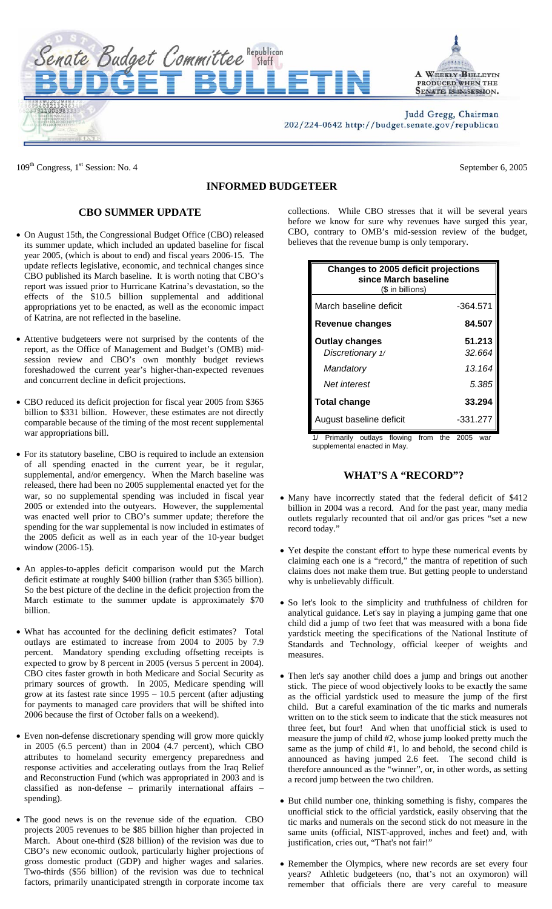

 $109<sup>th</sup> Congress, 1<sup>st</sup> Session: No. 4$  September 6, 2005

## **INFORMED BUDGETEER**

## **CBO SUMMER UPDATE**

- On August 15th, the Congressional Budget Office (CBO) released its summer update, which included an updated baseline for fiscal year 2005, (which is about to end) and fiscal years 2006-15. The update reflects legislative, economic, and technical changes since CBO published its March baseline. It is worth noting that CBO's report was issued prior to Hurricane Katrina's devastation, so the effects of the \$10.5 billion supplemental and additional appropriations yet to be enacted, as well as the economic impact of Katrina, are not reflected in the baseline.
- Attentive budgeteers were not surprised by the contents of the report, as the Office of Management and Budget's (OMB) midsession review and CBO's own monthly budget reviews foreshadowed the current year's higher-than-expected revenues and concurrent decline in deficit projections.
- CBO reduced its deficit projection for fiscal year 2005 from \$365 billion to \$331 billion. However, these estimates are not directly comparable because of the timing of the most recent supplemental war appropriations bill.
- For its statutory baseline, CBO is required to include an extension of all spending enacted in the current year, be it regular, supplemental, and/or emergency. When the March baseline was released, there had been no 2005 supplemental enacted yet for the war, so no supplemental spending was included in fiscal year 2005 or extended into the outyears. However, the supplemental was enacted well prior to CBO's summer update; therefore the spending for the war supplemental is now included in estimates of the 2005 deficit as well as in each year of the 10-year budget window (2006-15).
- An apples-to-apples deficit comparison would put the March deficit estimate at roughly \$400 billion (rather than \$365 billion). So the best picture of the decline in the deficit projection from the March estimate to the summer update is approximately \$70 billion.
- What has accounted for the declining deficit estimates? Total outlays are estimated to increase from 2004 to 2005 by 7.9 percent. Mandatory spending excluding offsetting receipts is expected to grow by 8 percent in 2005 (versus 5 percent in 2004). CBO cites faster growth in both Medicare and Social Security as primary sources of growth. In 2005, Medicare spending will grow at its fastest rate since 1995 – 10.5 percent (after adjusting for payments to managed care providers that will be shifted into 2006 because the first of October falls on a weekend).
- Even non-defense discretionary spending will grow more quickly in 2005 (6.5 percent) than in 2004 (4.7 percent), which CBO attributes to homeland security emergency preparedness and response activities and accelerating outlays from the Iraq Relief and Reconstruction Fund (which was appropriated in 2003 and is classified as non-defense – primarily international affairs – spending).
- The good news is on the revenue side of the equation. CBO projects 2005 revenues to be \$85 billion higher than projected in March. About one-third (\$28 billion) of the revision was due to CBO's new economic outlook, particularly higher projections of gross domestic product (GDP) and higher wages and salaries. Two-thirds (\$56 billion) of the revision was due to technical factors, primarily unanticipated strength in corporate income tax

collections. While CBO stresses that it will be several years before we know for sure why revenues have surged this year, CBO, contrary to OMB's mid-session review of the budget, believes that the revenue bump is only temporary.

| Changes to 2005 deficit projections<br>since March baseline<br>(\$ in billions) |                  |
|---------------------------------------------------------------------------------|------------------|
| March baseline deficit                                                          | $-364.571$       |
| Revenue changes                                                                 | 84.507           |
| <b>Outlay changes</b><br>Discretionary 1/                                       | 51.213<br>32.664 |
| Mandatory                                                                       | 13.164           |
| Net interest                                                                    | 5.385            |
| <b>Total change</b>                                                             | 33.294           |
| August baseline deficit                                                         | $-331.277$       |

1/ Primarily outlays flowing from the 2005 war supplemental enacted in May.

## **WHAT'S A "RECORD"?**

- Many have incorrectly stated that the federal deficit of \$412 billion in 2004 was a record. And for the past year, many media outlets regularly recounted that oil and/or gas prices "set a new record today."
- Yet despite the constant effort to hype these numerical events by claiming each one is a "record," the mantra of repetition of such claims does not make them true. But getting people to understand why is unbelievably difficult.
- So let's look to the simplicity and truthfulness of children for analytical guidance. Let's say in playing a jumping game that one child did a jump of two feet that was measured with a bona fide yardstick meeting the specifications of the National Institute of Standards and Technology, official keeper of weights and measures.
- Then let's say another child does a jump and brings out another stick. The piece of wood objectively looks to be exactly the same as the official yardstick used to measure the jump of the first child. But a careful examination of the tic marks and numerals written on to the stick seem to indicate that the stick measures not three feet, but four! And when that unofficial stick is used to measure the jump of child #2, whose jump looked pretty much the same as the jump of child #1, lo and behold, the second child is announced as having jumped 2.6 feet. The second child is therefore announced as the "winner", or, in other words, as setting a record jump between the two children.
- But child number one, thinking something is fishy, compares the unofficial stick to the official yardstick, easily observing that the tic marks and numerals on the second stick do not measure in the same units (official, NIST-approved, inches and feet) and, with justification, cries out, "That's not fair!"
- Remember the Olympics, where new records are set every four years? Athletic budgeteers (no, that's not an oxymoron) will remember that officials there are very careful to measure